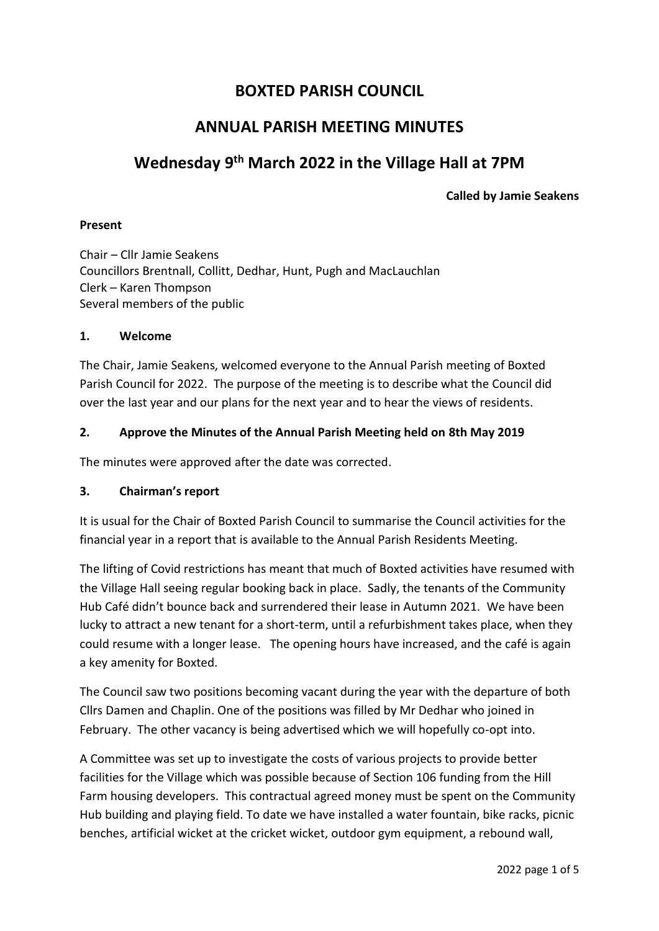### **BOXTED PARISH COUNCIL**

### **ANNUAL PARISH MEETING MINUTES**

## **Wednesday 9 th March 2022 in the Village Hall at 7PM**

#### **Called by Jamie Seakens**

#### **Present**

Chair – Cllr Jamie Seakens Councillors Brentnall, Collitt, Dedhar, Hunt, Pugh and MacLauchlan Clerk – Karen Thompson Several members of the public

#### **1. Welcome**

The Chair, Jamie Seakens, welcomed everyone to the Annual Parish meeting of Boxted Parish Council for 2022. The purpose of the meeting is to describe what the Council did over the last year and our plans for the next year and to hear the views of residents.

#### **2. Approve the Minutes of the Annual Parish Meeting held on 8th May 2019**

The minutes were approved after the date was corrected.

#### **3. Chairman's report**

It is usual for the Chair of Boxted Parish Council to summarise the Council activities for the financial year in a report that is available to the Annual Parish Residents Meeting.

The lifting of Covid restrictions has meant that much of Boxted activities have resumed with the Village Hall seeing regular booking back in place. Sadly, the tenants of the Community Hub Café didn't bounce back and surrendered their lease in Autumn 2021. We have been lucky to attract a new tenant for a short-term, until a refurbishment takes place, when they could resume with a longer lease. The opening hours have increased, and the café is again a key amenity for Boxted.

The Council saw two positions becoming vacant during the year with the departure of both Cllrs Damen and Chaplin. One of the positions was filled by Mr Dedhar who joined in February. The other vacancy is being advertised which we will hopefully co-opt into.

A Committee was set up to investigate the costs of various projects to provide better facilities for the Village which was possible because of Section 106 funding from the Hill Farm housing developers. This contractual agreed money must be spent on the Community Hub building and playing field. To date we have installed a water fountain, bike racks, picnic benches, artificial wicket at the cricket wicket, outdoor gym equipment, a rebound wall,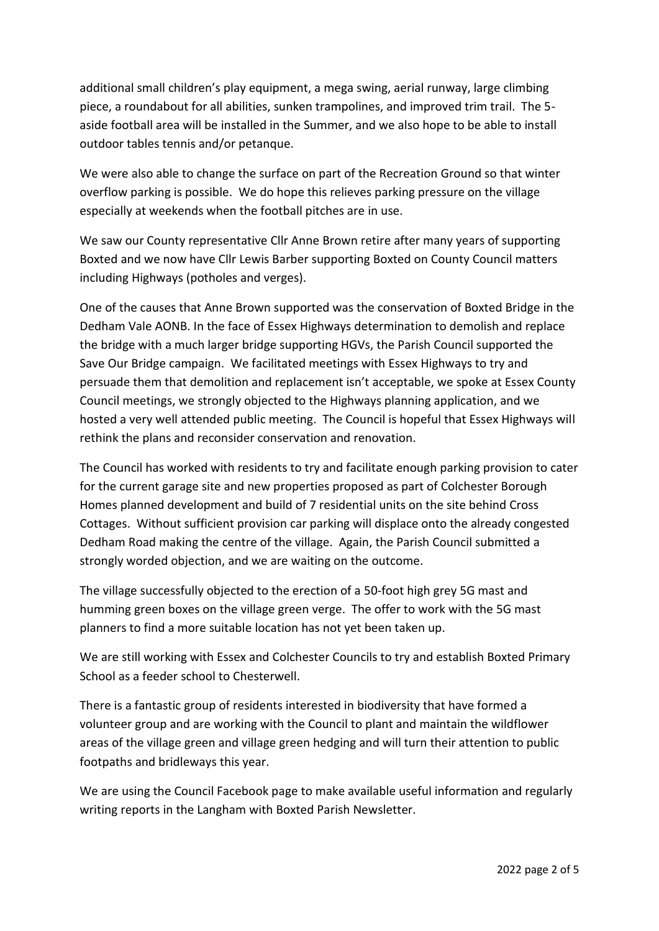additional small children's play equipment, a mega swing, aerial runway, large climbing piece, a roundabout for all abilities, sunken trampolines, and improved trim trail. The 5 aside football area will be installed in the Summer, and we also hope to be able to install outdoor tables tennis and/or petanque.

We were also able to change the surface on part of the Recreation Ground so that winter overflow parking is possible. We do hope this relieves parking pressure on the village especially at weekends when the football pitches are in use.

We saw our County representative Cllr Anne Brown retire after many years of supporting Boxted and we now have Cllr Lewis Barber supporting Boxted on County Council matters including Highways (potholes and verges).

One of the causes that Anne Brown supported was the conservation of Boxted Bridge in the Dedham Vale AONB. In the face of Essex Highways determination to demolish and replace the bridge with a much larger bridge supporting HGVs, the Parish Council supported the Save Our Bridge campaign. We facilitated meetings with Essex Highways to try and persuade them that demolition and replacement isn't acceptable, we spoke at Essex County Council meetings, we strongly objected to the Highways planning application, and we hosted a very well attended public meeting. The Council is hopeful that Essex Highways will rethink the plans and reconsider conservation and renovation.

The Council has worked with residents to try and facilitate enough parking provision to cater for the current garage site and new properties proposed as part of Colchester Borough Homes planned development and build of 7 residential units on the site behind Cross Cottages. Without sufficient provision car parking will displace onto the already congested Dedham Road making the centre of the village. Again, the Parish Council submitted a strongly worded objection, and we are waiting on the outcome.

The village successfully objected to the erection of a 50-foot high grey 5G mast and humming green boxes on the village green verge. The offer to work with the 5G mast planners to find a more suitable location has not yet been taken up.

We are still working with Essex and Colchester Councils to try and establish Boxted Primary School as a feeder school to Chesterwell.

There is a fantastic group of residents interested in biodiversity that have formed a volunteer group and are working with the Council to plant and maintain the wildflower areas of the village green and village green hedging and will turn their attention to public footpaths and bridleways this year.

We are using the Council Facebook page to make available useful information and regularly writing reports in the Langham with Boxted Parish Newsletter.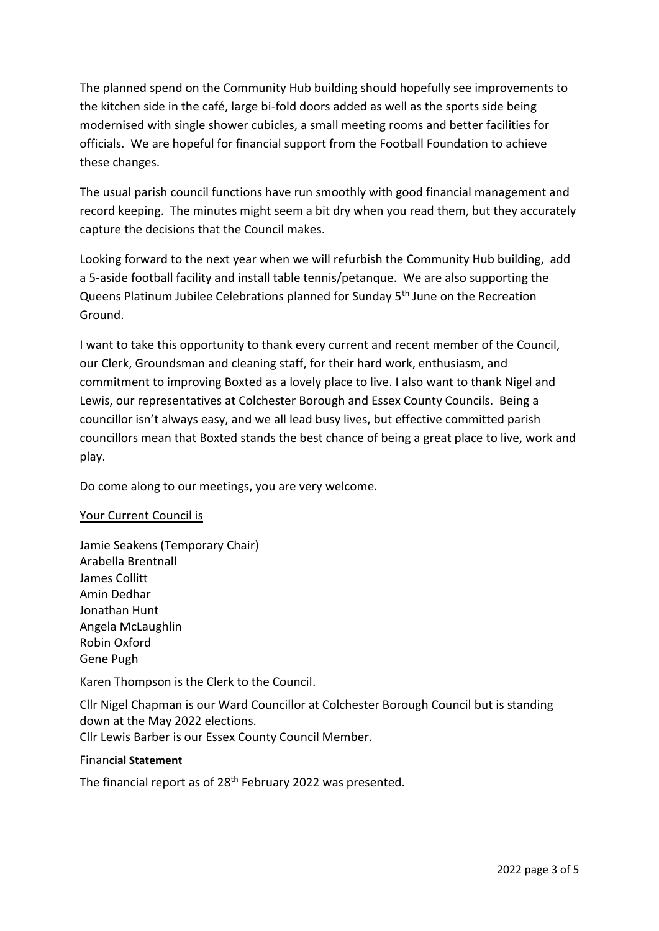The planned spend on the Community Hub building should hopefully see improvements to the kitchen side in the café, large bi-fold doors added as well as the sports side being modernised with single shower cubicles, a small meeting rooms and better facilities for officials. We are hopeful for financial support from the Football Foundation to achieve these changes.

The usual parish council functions have run smoothly with good financial management and record keeping. The minutes might seem a bit dry when you read them, but they accurately capture the decisions that the Council makes.

Looking forward to the next year when we will refurbish the Community Hub building, add a 5-aside football facility and install table tennis/petanque. We are also supporting the Queens Platinum Jubilee Celebrations planned for Sunday 5<sup>th</sup> June on the Recreation Ground.

I want to take this opportunity to thank every current and recent member of the Council, our Clerk, Groundsman and cleaning staff, for their hard work, enthusiasm, and commitment to improving Boxted as a lovely place to live. I also want to thank Nigel and Lewis, our representatives at Colchester Borough and Essex County Councils. Being a councillor isn't always easy, and we all lead busy lives, but effective committed parish councillors mean that Boxted stands the best chance of being a great place to live, work and play.

Do come along to our meetings, you are very welcome.

#### Your Current Council is

Jamie Seakens (Temporary Chair) Arabella Brentnall James Collitt Amin Dedhar Jonathan Hunt Angela McLaughlin Robin Oxford Gene Pugh

Karen Thompson is the Clerk to the Council.

Cllr Nigel Chapman is our Ward Councillor at Colchester Borough Council but is standing down at the May 2022 elections. Cllr Lewis Barber is our Essex County Council Member.

#### Finan**cial Statement**

The financial report as of 28<sup>th</sup> February 2022 was presented.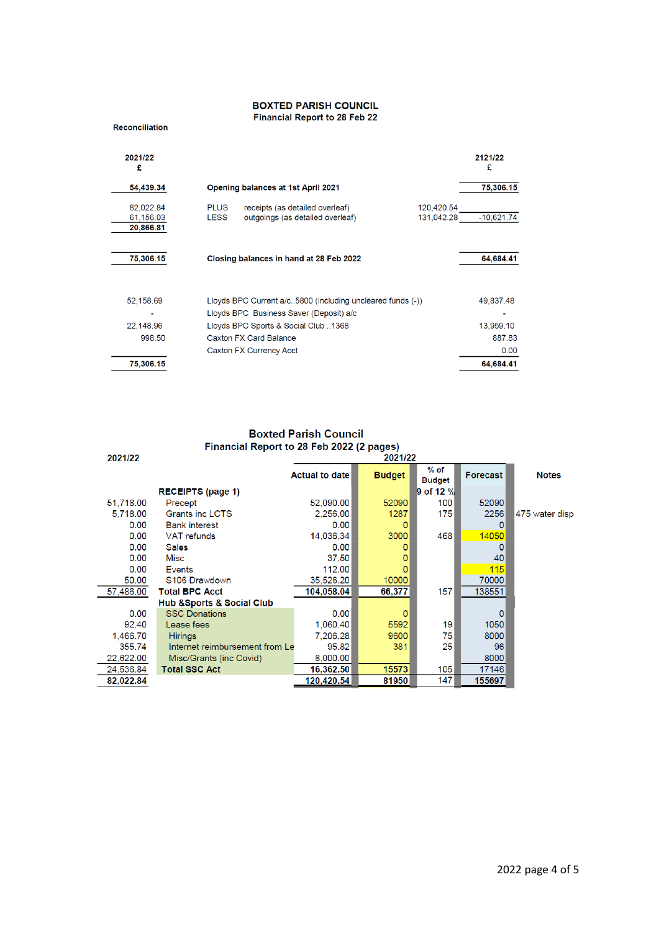# **BOXTED PARISH COUNCIL**<br>Financial Report to 28 Feb 22

| <b>Reconciliation</b> |  |  |  |  |  |
|-----------------------|--|--|--|--|--|
|-----------------------|--|--|--|--|--|

| 2021/22<br>£                        |                            |                                                                                                             |                          | 2121/22<br>£ |
|-------------------------------------|----------------------------|-------------------------------------------------------------------------------------------------------------|--------------------------|--------------|
| 54,439.34                           |                            | <b>Opening balances at 1st April 2021</b>                                                                   |                          | 75,306.15    |
| 82,022.84<br>61,156.03<br>20,866.81 | <b>PLUS</b><br><b>LESS</b> | receipts (as detailed overleaf)<br>outgoings (as detailed overleaf)                                         | 120,420.54<br>131.042.28 | $-10,621.74$ |
| 75,306.15                           |                            | Closing balances in hand at 28 Feb 2022                                                                     |                          | 64,684.41    |
| 52,158.69                           |                            | Lloyds BPC Current $a/c$ 5800 (including uncleared funds $(-)$ )<br>Lloyds BPC Business Saver (Deposit) a/c |                          | 49,837.48    |
| 22,148.96                           |                            | Lloyds BPC Sports & Social Club1368                                                                         |                          | 13,959.10    |
| 998.50                              |                            | Caxton FX Card Balance                                                                                      |                          | 887.83       |
|                                     |                            | Caxton FX Currency Acct                                                                                     |                          | 0.00         |
| 75,306.15                           |                            |                                                                                                             |                          | 64,684.41    |

# Boxted Parish Council<br>Financial Report to 28 Feb 2022 (2 pages)

| 2021/22   |                                           | 2021/22               |                |                         |                 |                |
|-----------|-------------------------------------------|-----------------------|----------------|-------------------------|-----------------|----------------|
|           |                                           | <b>Actual to date</b> | <b>Budget</b>  | $%$ of<br><b>Budget</b> | <b>Forecast</b> | <b>Notes</b>   |
|           | <b>RECEIPTS (page 1)</b>                  |                       |                | 9 of 12 %               |                 |                |
| 51,718.00 | Precept                                   | 52,090.00             | 52090          | 100                     | 52090           |                |
| 5,718.00  | Grants inc LCTS                           | 2,256.00              | 1287           | 175                     | 2256            | 475 water disp |
| 0.00      | <b>Bank interest</b>                      | 0.00                  | 0              |                         | O               |                |
| 0.00      | VAT refunds                               | 14,036.34             | 3000           | 468                     | 14050           |                |
| 0.00      | <b>Sales</b>                              | 0.00                  | 0              |                         | 0               |                |
| 0.00      | Misc                                      | 37.50                 | 0              |                         | 40              |                |
| 0.00      | Events                                    | 112.00                | $\mathbf{0}$   |                         | 115             |                |
| 50.00     | S106 Drawdown                             | 35,526.20             | 10000          |                         | 70000           |                |
| 57,486.00 | <b>Total BPC Acct</b>                     | 104,058.04            | 66,377         | 157                     | 138551          |                |
|           | <b>Hub &amp; Sports &amp; Social Club</b> |                       |                |                         |                 |                |
| 0.00      | <b>SSC Donations</b>                      | 0.00                  | $\overline{0}$ |                         | 0               |                |
| 92.40     | Lease fees                                | 1,060.40              | 5592           | 19                      | 1050            |                |
| 1,466.70  | <b>Hirings</b>                            | 7.206.28              | 9600           | 75                      | 8000            |                |
| 355.74    | Internet reimbursement from Le            | 95.82                 | 381            | 25                      | 96              |                |
| 22,622.00 | Misc/Grants (inc Covid)                   | 8,000.00              |                |                         | 8000            |                |
| 24,536.84 | <b>Total SSC Act</b>                      | 16,362.50             | 15573          | 105                     | 17146           |                |
| 82,022.84 |                                           | 120,420.54            | 81950          | 147                     | 155697          |                |
|           |                                           |                       |                |                         |                 |                |